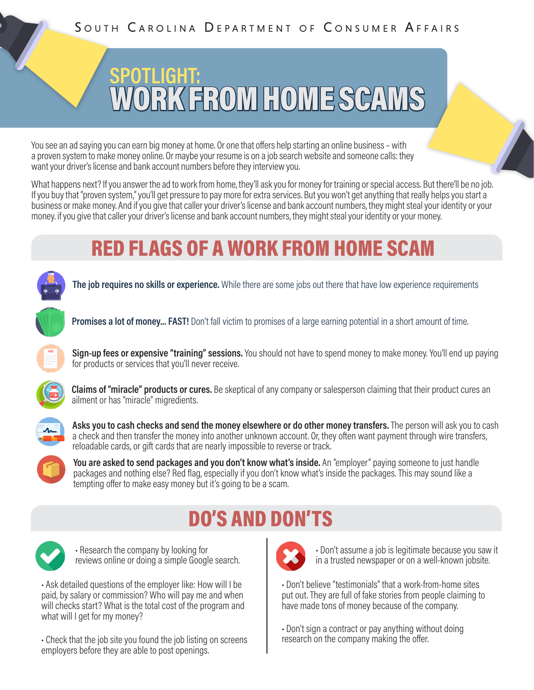# **SPOTLIGHT:** WORK FROM HOME SCAMS

You see an ad saying you can earn big money at home. Or one that offers help starting an online business – with a proven system to make money online. Or maybe your resume is on a job search website and someone calls: they want your driver's license and bank account numbers before they interview you.

What happens next? If you answer the ad to work from home, they'll ask you for money for training or special access. But there'll be no job. If you buy that "proven system," you'll get pressure to pay more for extra services. But you won't get anything that really helps you start a business or make money. And if you give that caller your driver's license and bank account numbers, they might steal your identity or your money. if you give that caller your driver's license and bank account numbers, they might steal your identity or your money.

### RED FLAGS OF A WORK FROM HOME SCAM

**The job requires no skills or experience.** While there are some jobs out there that have low experience requirements



**Promises a lot of money... FAST!** Don't fall victim to promises of a large earning potential in a short amount of time.



**Sign-up fees or expensive "training" sessions.** You should not have to spend money to make money. You'll end up paying for products or services that you'll never receive.



**Claims of "miracle" products or cures.** Be skeptical of any company or salesperson claiming that their product cures an ailment or has "miracle" migredients.



**Asks you to cash checks and send the money elsewhere or do other money transfers.** The person will ask you to cash a check and then transfer the money into another unknown account. Or, they often want payment through wire transfers, reloadable cards, or gift cards that are nearly impossible to reverse or track.



### DO'S AND DON'TS



• Research the company by looking for reviews online or doing a simple Google search.

• Ask detailed questions of the employer like: How will I be paid, by salary or commission? Who will pay me and when will checks start? What is the total cost of the program and what will I get for my money?

• Check that the job site you found the job listing on screens employers before they are able to post openings.



• Don't assume a job is legitimate because you saw it in a trusted newspaper or on a well-known jobsite.

• Don't believe "testimonials" that a work-from-home sites put out. They are full of fake stories from people claiming to have made tons of money because of the company.

• Don't sign a contract or pay anything without doing research on the company making the offer.